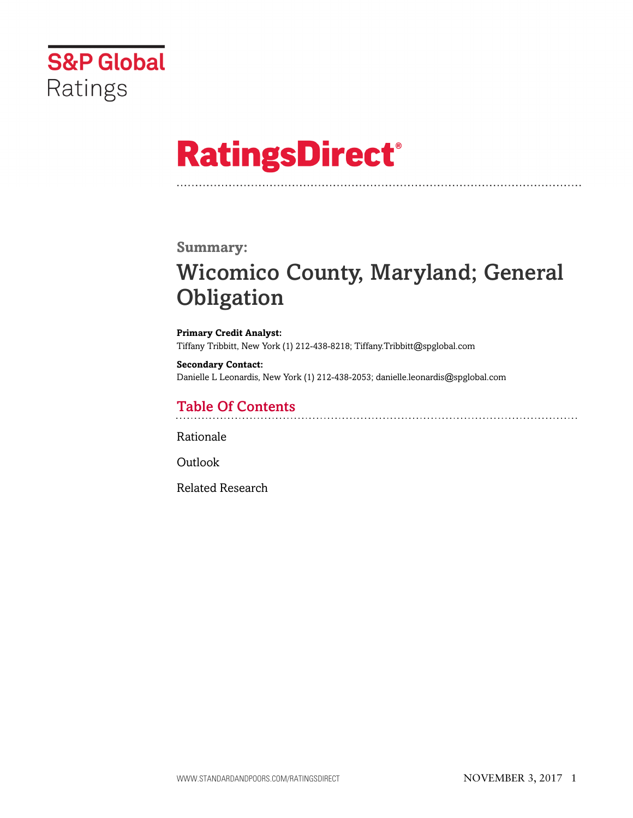

# **RatingsDirect®**

### **Summary:**

# Wicomico County, Maryland; General **Obligation**

**Primary Credit Analyst:** Tiffany Tribbitt, New York (1) 212-438-8218; Tiffany.Tribbitt@spglobal.com

**Secondary Contact:** Danielle L Leonardis, New York (1) 212-438-2053; danielle.leonardis@spglobal.com

# Table Of Contents

[Rationale](#page-1-0)

[Outlook](#page-5-0)

[Related Research](#page-5-1)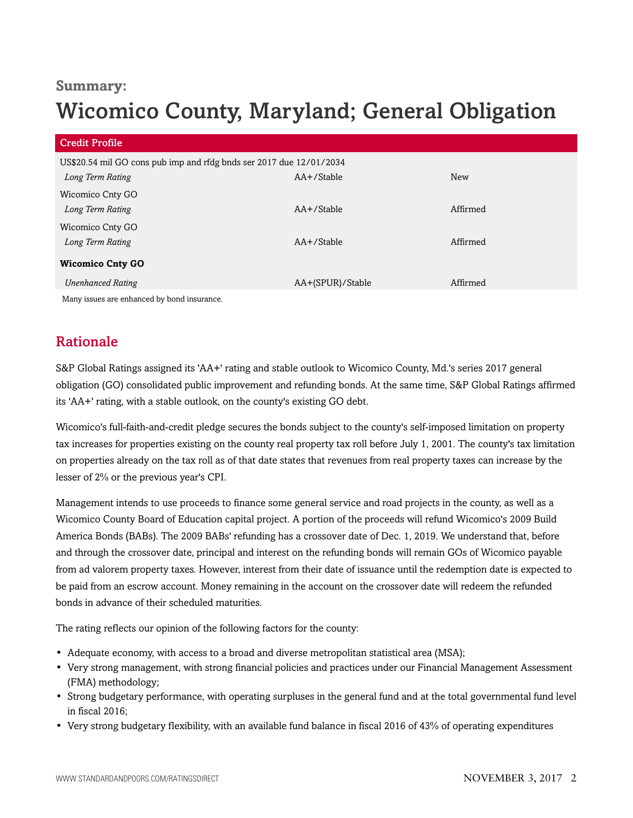## **Summary:**

# Wicomico County, Maryland; General Obligation

| Credit Profile                                                      |                  |            |
|---------------------------------------------------------------------|------------------|------------|
| US\$20.54 mil GO cons pub imp and rfdg bnds ser 2017 due 12/01/2034 |                  |            |
| Long Term Rating                                                    | AA+/Stable       | <b>New</b> |
| Wicomico Cnty GO                                                    |                  |            |
| Long Term Rating                                                    | $AA+$ /Stable    | Affirmed   |
| Wicomico Cnty GO                                                    |                  |            |
| Long Term Rating                                                    | $AA+$ /Stable    | Affirmed   |
| <b>Wicomico Cnty GO</b>                                             |                  |            |
| <b>Unenhanced Rating</b>                                            | AA+(SPUR)/Stable | Affirmed   |
| Many issues are enhanced by bond insurance.                         |                  |            |

# <span id="page-1-0"></span>Rationale

S&P Global Ratings assigned its 'AA+' rating and stable outlook to Wicomico County, Md.'s series 2017 general obligation (GO) consolidated public improvement and refunding bonds. At the same time, S&P Global Ratings affirmed its 'AA+' rating, with a stable outlook, on the county's existing GO debt.

Wicomico's full-faith-and-credit pledge secures the bonds subject to the county's self-imposed limitation on property tax increases for properties existing on the county real property tax roll before July 1, 2001. The county's tax limitation on properties already on the tax roll as of that date states that revenues from real property taxes can increase by the lesser of 2% or the previous year's CPI.

Management intends to use proceeds to finance some general service and road projects in the county, as well as a Wicomico County Board of Education capital project. A portion of the proceeds will refund Wicomico's 2009 Build America Bonds (BABs). The 2009 BABs' refunding has a crossover date of Dec. 1, 2019. We understand that, before and through the crossover date, principal and interest on the refunding bonds will remain GOs of Wicomico payable from ad valorem property taxes. However, interest from their date of issuance until the redemption date is expected to be paid from an escrow account. Money remaining in the account on the crossover date will redeem the refunded bonds in advance of their scheduled maturities.

The rating reflects our opinion of the following factors for the county:

- Adequate economy, with access to a broad and diverse metropolitan statistical area (MSA);
- Very strong management, with strong financial policies and practices under our Financial Management Assessment (FMA) methodology;
- Strong budgetary performance, with operating surpluses in the general fund and at the total governmental fund level in fiscal 2016;
- Very strong budgetary flexibility, with an available fund balance in fiscal 2016 of 43% of operating expenditures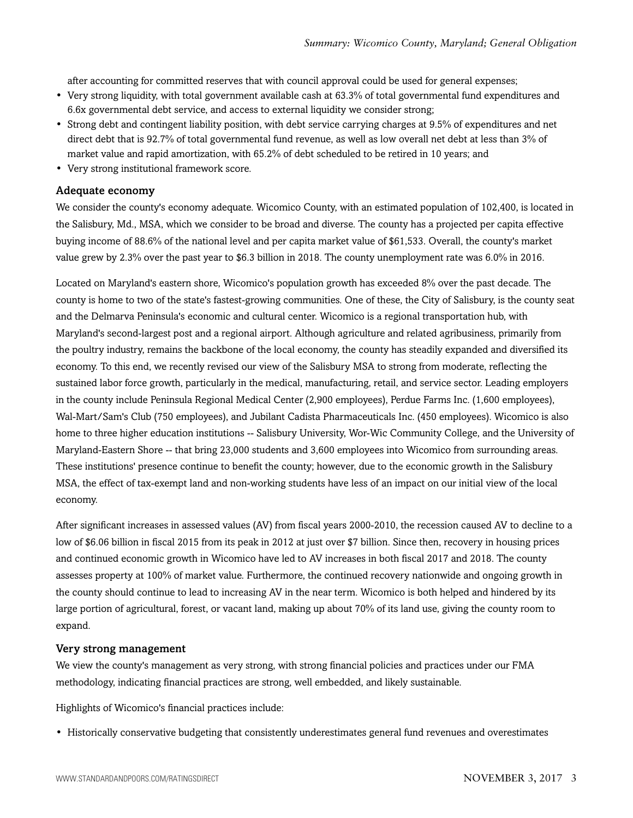after accounting for committed reserves that with council approval could be used for general expenses;

- Very strong liquidity, with total government available cash at 63.3% of total governmental fund expenditures and 6.6x governmental debt service, and access to external liquidity we consider strong;
- Strong debt and contingent liability position, with debt service carrying charges at 9.5% of expenditures and net direct debt that is 92.7% of total governmental fund revenue, as well as low overall net debt at less than 3% of market value and rapid amortization, with 65.2% of debt scheduled to be retired in 10 years; and
- Very strong institutional framework score.

#### Adequate economy

We consider the county's economy adequate. Wicomico County, with an estimated population of 102,400, is located in the Salisbury, Md., MSA, which we consider to be broad and diverse. The county has a projected per capita effective buying income of 88.6% of the national level and per capita market value of \$61,533. Overall, the county's market value grew by 2.3% over the past year to \$6.3 billion in 2018. The county unemployment rate was 6.0% in 2016.

Located on Maryland's eastern shore, Wicomico's population growth has exceeded 8% over the past decade. The county is home to two of the state's fastest-growing communities. One of these, the City of Salisbury, is the county seat and the Delmarva Peninsula's economic and cultural center. Wicomico is a regional transportation hub, with Maryland's second-largest post and a regional airport. Although agriculture and related agribusiness, primarily from the poultry industry, remains the backbone of the local economy, the county has steadily expanded and diversified its economy. To this end, we recently revised our view of the Salisbury MSA to strong from moderate, reflecting the sustained labor force growth, particularly in the medical, manufacturing, retail, and service sector. Leading employers in the county include Peninsula Regional Medical Center (2,900 employees), Perdue Farms Inc. (1,600 employees), Wal-Mart/Sam's Club (750 employees), and Jubilant Cadista Pharmaceuticals Inc. (450 employees). Wicomico is also home to three higher education institutions -- Salisbury University, Wor-Wic Community College, and the University of Maryland-Eastern Shore -- that bring 23,000 students and 3,600 employees into Wicomico from surrounding areas. These institutions' presence continue to benefit the county; however, due to the economic growth in the Salisbury MSA, the effect of tax-exempt land and non-working students have less of an impact on our initial view of the local economy.

After significant increases in assessed values (AV) from fiscal years 2000-2010, the recession caused AV to decline to a low of \$6.06 billion in fiscal 2015 from its peak in 2012 at just over \$7 billion. Since then, recovery in housing prices and continued economic growth in Wicomico have led to AV increases in both fiscal 2017 and 2018. The county assesses property at 100% of market value. Furthermore, the continued recovery nationwide and ongoing growth in the county should continue to lead to increasing AV in the near term. Wicomico is both helped and hindered by its large portion of agricultural, forest, or vacant land, making up about 70% of its land use, giving the county room to expand.

#### Very strong management

We view the county's management as very strong, with strong financial policies and practices under our FMA methodology, indicating financial practices are strong, well embedded, and likely sustainable.

Highlights of Wicomico's financial practices include:

• Historically conservative budgeting that consistently underestimates general fund revenues and overestimates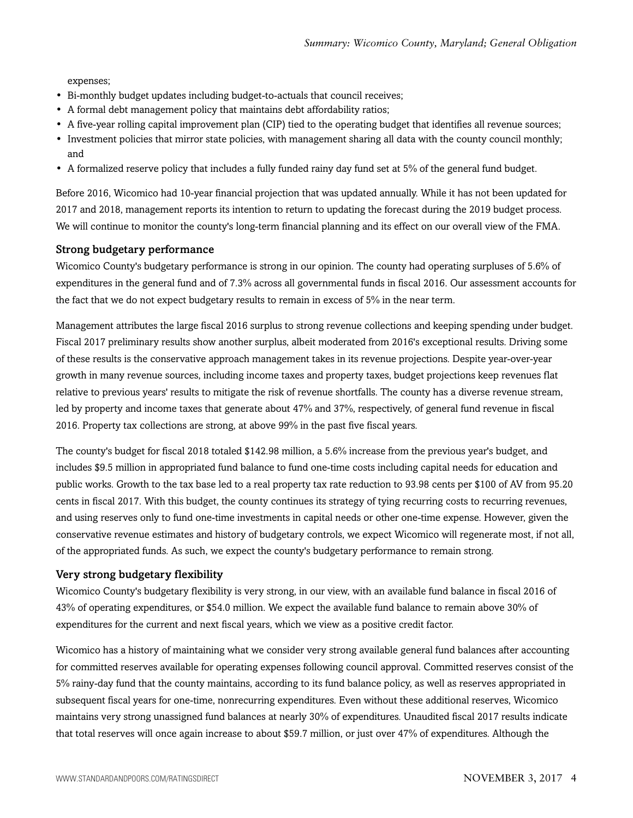expenses;

- Bi-monthly budget updates including budget-to-actuals that council receives;
- A formal debt management policy that maintains debt affordability ratios;
- A five-year rolling capital improvement plan (CIP) tied to the operating budget that identifies all revenue sources;
- Investment policies that mirror state policies, with management sharing all data with the county council monthly; and
- A formalized reserve policy that includes a fully funded rainy day fund set at 5% of the general fund budget.

Before 2016, Wicomico had 10-year financial projection that was updated annually. While it has not been updated for 2017 and 2018, management reports its intention to return to updating the forecast during the 2019 budget process. We will continue to monitor the county's long-term financial planning and its effect on our overall view of the FMA.

#### Strong budgetary performance

Wicomico County's budgetary performance is strong in our opinion. The county had operating surpluses of 5.6% of expenditures in the general fund and of 7.3% across all governmental funds in fiscal 2016. Our assessment accounts for the fact that we do not expect budgetary results to remain in excess of 5% in the near term.

Management attributes the large fiscal 2016 surplus to strong revenue collections and keeping spending under budget. Fiscal 2017 preliminary results show another surplus, albeit moderated from 2016's exceptional results. Driving some of these results is the conservative approach management takes in its revenue projections. Despite year-over-year growth in many revenue sources, including income taxes and property taxes, budget projections keep revenues flat relative to previous years' results to mitigate the risk of revenue shortfalls. The county has a diverse revenue stream, led by property and income taxes that generate about 47% and 37%, respectively, of general fund revenue in fiscal 2016. Property tax collections are strong, at above 99% in the past five fiscal years.

The county's budget for fiscal 2018 totaled \$142.98 million, a 5.6% increase from the previous year's budget, and includes \$9.5 million in appropriated fund balance to fund one-time costs including capital needs for education and public works. Growth to the tax base led to a real property tax rate reduction to 93.98 cents per \$100 of AV from 95.20 cents in fiscal 2017. With this budget, the county continues its strategy of tying recurring costs to recurring revenues, and using reserves only to fund one-time investments in capital needs or other one-time expense. However, given the conservative revenue estimates and history of budgetary controls, we expect Wicomico will regenerate most, if not all, of the appropriated funds. As such, we expect the county's budgetary performance to remain strong.

#### Very strong budgetary flexibility

Wicomico County's budgetary flexibility is very strong, in our view, with an available fund balance in fiscal 2016 of 43% of operating expenditures, or \$54.0 million. We expect the available fund balance to remain above 30% of expenditures for the current and next fiscal years, which we view as a positive credit factor.

Wicomico has a history of maintaining what we consider very strong available general fund balances after accounting for committed reserves available for operating expenses following council approval. Committed reserves consist of the 5% rainy-day fund that the county maintains, according to its fund balance policy, as well as reserves appropriated in subsequent fiscal years for one-time, nonrecurring expenditures. Even without these additional reserves, Wicomico maintains very strong unassigned fund balances at nearly 30% of expenditures. Unaudited fiscal 2017 results indicate that total reserves will once again increase to about \$59.7 million, or just over 47% of expenditures. Although the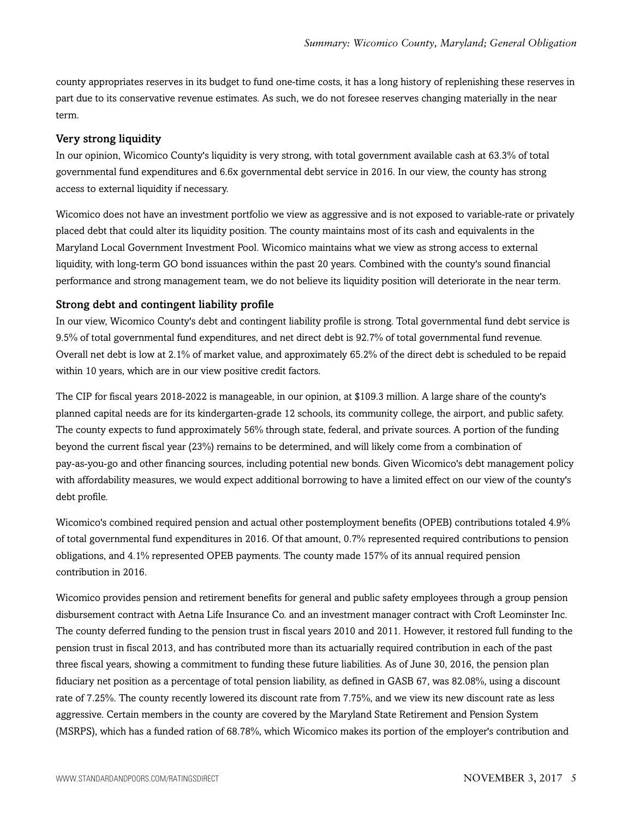county appropriates reserves in its budget to fund one-time costs, it has a long history of replenishing these reserves in part due to its conservative revenue estimates. As such, we do not foresee reserves changing materially in the near term.

#### Very strong liquidity

In our opinion, Wicomico County's liquidity is very strong, with total government available cash at 63.3% of total governmental fund expenditures and 6.6x governmental debt service in 2016. In our view, the county has strong access to external liquidity if necessary.

Wicomico does not have an investment portfolio we view as aggressive and is not exposed to variable-rate or privately placed debt that could alter its liquidity position. The county maintains most of its cash and equivalents in the Maryland Local Government Investment Pool. Wicomico maintains what we view as strong access to external liquidity, with long-term GO bond issuances within the past 20 years. Combined with the county's sound financial performance and strong management team, we do not believe its liquidity position will deteriorate in the near term.

#### Strong debt and contingent liability profile

In our view, Wicomico County's debt and contingent liability profile is strong. Total governmental fund debt service is 9.5% of total governmental fund expenditures, and net direct debt is 92.7% of total governmental fund revenue. Overall net debt is low at 2.1% of market value, and approximately 65.2% of the direct debt is scheduled to be repaid within 10 years, which are in our view positive credit factors.

The CIP for fiscal years 2018-2022 is manageable, in our opinion, at \$109.3 million. A large share of the county's planned capital needs are for its kindergarten-grade 12 schools, its community college, the airport, and public safety. The county expects to fund approximately 56% through state, federal, and private sources. A portion of the funding beyond the current fiscal year (23%) remains to be determined, and will likely come from a combination of pay-as-you-go and other financing sources, including potential new bonds. Given Wicomico's debt management policy with affordability measures, we would expect additional borrowing to have a limited effect on our view of the county's debt profile.

Wicomico's combined required pension and actual other postemployment benefits (OPEB) contributions totaled 4.9% of total governmental fund expenditures in 2016. Of that amount, 0.7% represented required contributions to pension obligations, and 4.1% represented OPEB payments. The county made 157% of its annual required pension contribution in 2016.

Wicomico provides pension and retirement benefits for general and public safety employees through a group pension disbursement contract with Aetna Life Insurance Co. and an investment manager contract with Croft Leominster Inc. The county deferred funding to the pension trust in fiscal years 2010 and 2011. However, it restored full funding to the pension trust in fiscal 2013, and has contributed more than its actuarially required contribution in each of the past three fiscal years, showing a commitment to funding these future liabilities. As of June 30, 2016, the pension plan fiduciary net position as a percentage of total pension liability, as defined in GASB 67, was 82.08%, using a discount rate of 7.25%. The county recently lowered its discount rate from 7.75%, and we view its new discount rate as less aggressive. Certain members in the county are covered by the Maryland State Retirement and Pension System (MSRPS), which has a funded ration of 68.78%, which Wicomico makes its portion of the employer's contribution and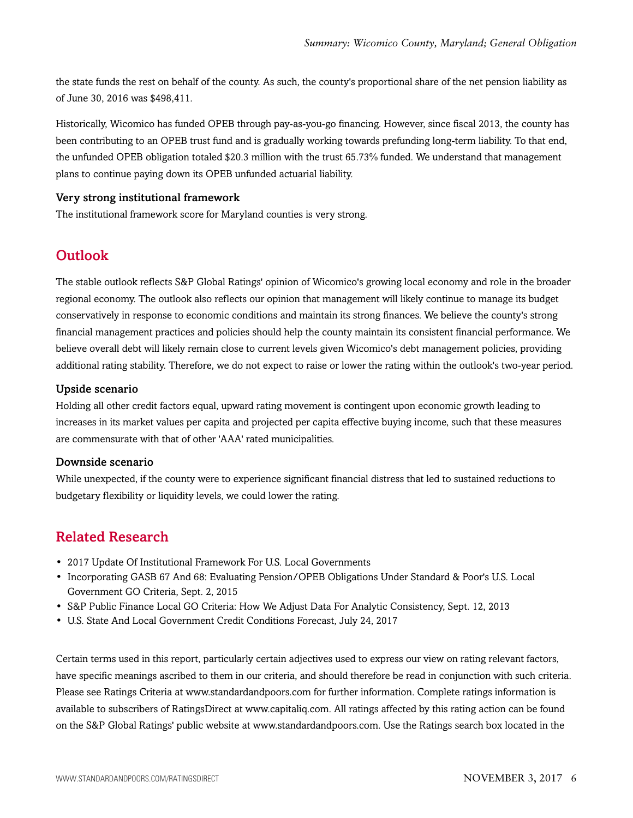the state funds the rest on behalf of the county. As such, the county's proportional share of the net pension liability as of June 30, 2016 was \$498,411.

Historically, Wicomico has funded OPEB through pay-as-you-go financing. However, since fiscal 2013, the county has been contributing to an OPEB trust fund and is gradually working towards prefunding long-term liability. To that end, the unfunded OPEB obligation totaled \$20.3 million with the trust 65.73% funded. We understand that management plans to continue paying down its OPEB unfunded actuarial liability.

#### Very strong institutional framework

<span id="page-5-0"></span>The institutional framework score for Maryland counties is very strong.

# **Outlook**

The stable outlook reflects S&P Global Ratings' opinion of Wicomico's growing local economy and role in the broader regional economy. The outlook also reflects our opinion that management will likely continue to manage its budget conservatively in response to economic conditions and maintain its strong finances. We believe the county's strong financial management practices and policies should help the county maintain its consistent financial performance. We believe overall debt will likely remain close to current levels given Wicomico's debt management policies, providing additional rating stability. Therefore, we do not expect to raise or lower the rating within the outlook's two-year period.

#### Upside scenario

Holding all other credit factors equal, upward rating movement is contingent upon economic growth leading to increases in its market values per capita and projected per capita effective buying income, such that these measures are commensurate with that of other 'AAA' rated municipalities.

#### Downside scenario

While unexpected, if the county were to experience significant financial distress that led to sustained reductions to budgetary flexibility or liquidity levels, we could lower the rating.

### <span id="page-5-1"></span>Related Research

- 2017 Update Of Institutional Framework For U.S. Local Governments
- Incorporating GASB 67 And 68: Evaluating Pension/OPEB Obligations Under Standard & Poor's U.S. Local Government GO Criteria, Sept. 2, 2015
- S&P Public Finance Local GO Criteria: How We Adjust Data For Analytic Consistency, Sept. 12, 2013
- U.S. State And Local Government Credit Conditions Forecast, July 24, 2017

Certain terms used in this report, particularly certain adjectives used to express our view on rating relevant factors, have specific meanings ascribed to them in our criteria, and should therefore be read in conjunction with such criteria. Please see Ratings Criteria at www.standardandpoors.com for further information. Complete ratings information is available to subscribers of RatingsDirect at www.capitaliq.com. All ratings affected by this rating action can be found on the S&P Global Ratings' public website at www.standardandpoors.com. Use the Ratings search box located in the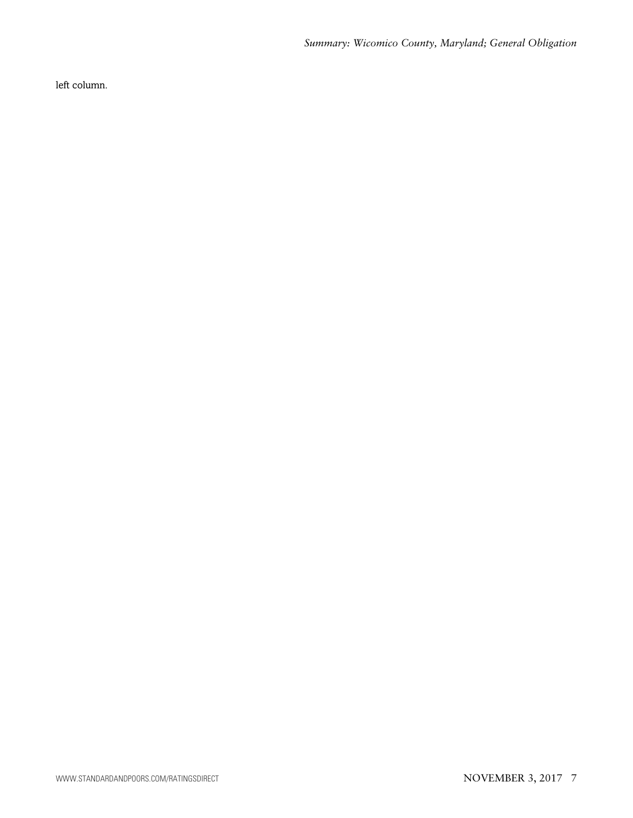left column.